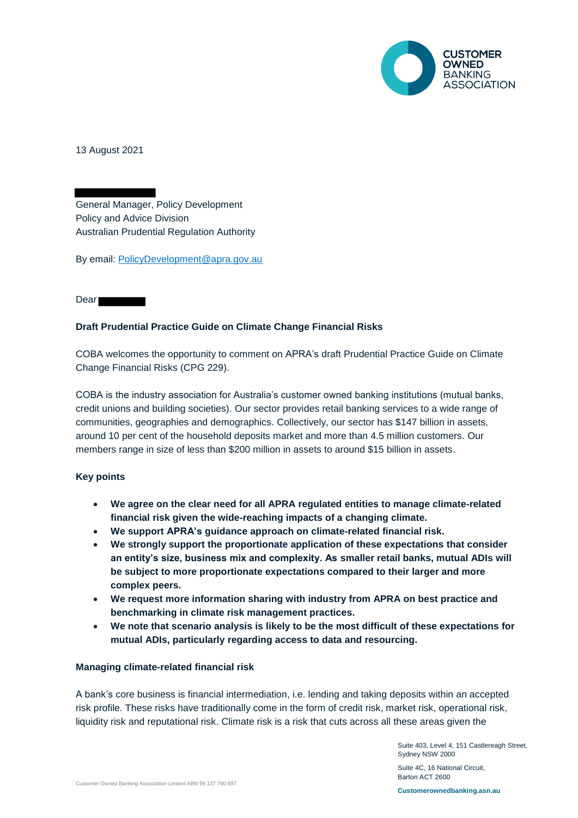

13 August 2021

General Manager, Policy Development Policy and Advice Division Australian Prudential Regulation Authority

By email: PolicyDevelopment@apra.gov.au

Dear **Dear** 

# **Draft Prudential Practice Guide on Climate Change Financial Risks**

COBA welcomes the opportunity to comment on APRA's draft Prudential Practice Guide on Climate Change Financial Risks (CPG 229).

COBA is the industry association for Australia's customer owned banking institutions (mutual banks, credit unions and building societies). Our sector provides retail banking services to a wide range of communities, geographies and demographics. Collectively, our sector has \$147 billion in assets, around 10 per cent of the household deposits market and more than 4.5 million customers. Our members range in size of less than \$200 million in assets to around \$15 billion in assets.

# **Key points**

- **We agree on the clear need for all APRA regulated entities to manage climate-related financial risk given the wide-reaching impacts of a changing climate.**
- **We support APRA's guidance approach on climate-related financial risk.**
- **We strongly support the proportionate application of these expectations that consider an entity's size, business mix and complexity. As smaller retail banks, mutual ADIs will be subject to more proportionate expectations compared to their larger and more complex peers.**
- **We request more information sharing with industry from APRA on best practice and benchmarking in climate risk management practices.**
- **We note that scenario analysis is likely to be the most difficult of these expectations for mutual ADIs, particularly regarding access to data and resourcing.**

# **Managing climate-related financial risk**

A bank's core business is financial intermediation, i.e. lending and taking deposits within an accepted risk profile. These risks have traditionally come in the form of credit risk, market risk, operational risk, liquidity risk and reputational risk. Climate risk is a risk that cuts across all these areas given the

> Suite 403, Level 4, 151 Castlereagh Street, Sydney NSW 2000

Suite 4C, 16 National Circuit, Barton ACT 2600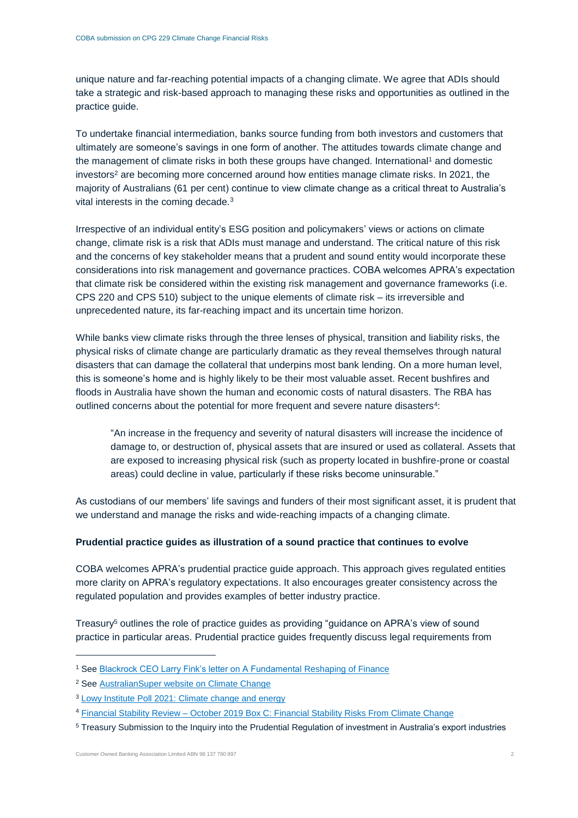unique nature and far-reaching potential impacts of a changing climate. We agree that ADIs should take a strategic and risk-based approach to managing these risks and opportunities as outlined in the practice guide.

To undertake financial intermediation, banks source funding from both investors and customers that ultimately are someone's savings in one form of another. The attitudes towards climate change and the management of climate risks in both these groups have changed. International<sup>1</sup> and domestic investors<sup>2</sup> are becoming more concerned around how entities manage climate risks. In 2021, the majority of Australians (61 per cent) continue to view climate change as a critical threat to Australia's vital interests in the coming decade.<sup>3</sup>

Irrespective of an individual entity's ESG position and policymakers' views or actions on climate change, climate risk is a risk that ADIs must manage and understand. The critical nature of this risk and the concerns of key stakeholder means that a prudent and sound entity would incorporate these considerations into risk management and governance practices. COBA welcomes APRA's expectation that climate risk be considered within the existing risk management and governance frameworks (i.e. CPS 220 and CPS 510) subject to the unique elements of climate risk – its irreversible and unprecedented nature, its far-reaching impact and its uncertain time horizon.

While banks view climate risks through the three lenses of physical, transition and liability risks, the physical risks of climate change are particularly dramatic as they reveal themselves through natural disasters that can damage the collateral that underpins most bank lending. On a more human level, this is someone's home and is highly likely to be their most valuable asset. Recent bushfires and floods in Australia have shown the human and economic costs of natural disasters. The RBA has outlined concerns about the potential for more frequent and severe nature disasters<sup>4</sup>:

"An increase in the frequency and severity of natural disasters will increase the incidence of damage to, or destruction of, physical assets that are insured or used as collateral. Assets that are exposed to increasing physical risk (such as property located in bushfire-prone or coastal areas) could decline in value, particularly if these risks become uninsurable."

As custodians of our members' life savings and funders of their most significant asset, it is prudent that we understand and manage the risks and wide-reaching impacts of a changing climate.

## **Prudential practice guides as illustration of a sound practice that continues to evolve**

COBA welcomes APRA's prudential practice guide approach. This approach gives regulated entities more clarity on APRA's regulatory expectations. It also encourages greater consistency across the regulated population and provides examples of better industry practice.

Treasury<sup>5</sup> outlines the role of practice guides as providing "guidance on APRA's view of sound practice in particular areas. Prudential practice guides frequently discuss legal requirements from

-

<sup>&</sup>lt;sup>1</sup> See **Blackrock CEO Larry Fink's letter on A Fundamental Reshaping of Finance** 

<sup>2</sup> See AustralianSuper website on Climate Change

<sup>3</sup> Lowy Institute Poll 2021: Climate change and energy

<sup>4</sup> Financial Stability Review – October 2019 Box C: Financial Stability Risks From Climate Change

<sup>5</sup> Treasury Submission to the Inquiry into the Prudential Regulation of investment in Australia's export industries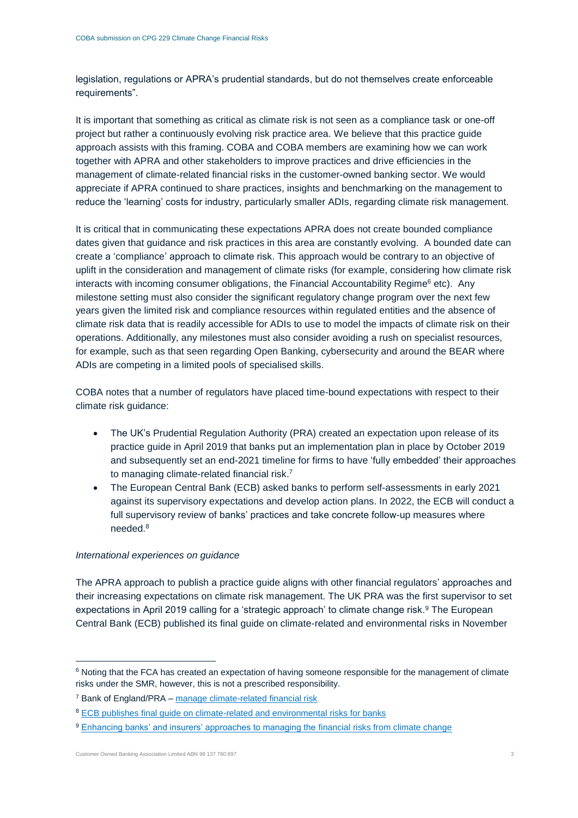legislation, regulations or APRA's prudential standards, but do not themselves create enforceable requirements".

It is important that something as critical as climate risk is not seen as a compliance task or one-off project but rather a continuously evolving risk practice area. We believe that this practice guide approach assists with this framing. COBA and COBA members are examining how we can work together with APRA and other stakeholders to improve practices and drive efficiencies in the management of climate-related financial risks in the customer-owned banking sector. We would appreciate if APRA continued to share practices, insights and benchmarking on the management to reduce the 'learning' costs for industry, particularly smaller ADIs, regarding climate risk management.

It is critical that in communicating these expectations APRA does not create bounded compliance dates given that guidance and risk practices in this area are constantly evolving. A bounded date can create a 'compliance' approach to climate risk. This approach would be contrary to an objective of uplift in the consideration and management of climate risks (for example, considering how climate risk interacts with incoming consumer obligations, the Financial Accountability Regime $<sup>6</sup>$  etc). Any</sup> milestone setting must also consider the significant regulatory change program over the next few years given the limited risk and compliance resources within regulated entities and the absence of climate risk data that is readily accessible for ADIs to use to model the impacts of climate risk on their operations. Additionally, any milestones must also consider avoiding a rush on specialist resources, for example, such as that seen regarding Open Banking, cybersecurity and around the BEAR where ADIs are competing in a limited pools of specialised skills.

COBA notes that a number of regulators have placed time-bound expectations with respect to their climate risk guidance:

- The UK's Prudential Regulation Authority (PRA) created an expectation upon release of its practice guide in April 2019 that banks put an implementation plan in place by October 2019 and subsequently set an end-2021 timeline for firms to have 'fully embedded' their approaches to managing climate-related financial risk. 7
- The European Central Bank (ECB) asked banks to perform self-assessments in early 2021 against its supervisory expectations and develop action plans. In 2022, the ECB will conduct a full supervisory review of banks' practices and take concrete follow-up measures where needed.<sup>8</sup>

# *International experiences on guidance*

The APRA approach to publish a practice guide aligns with other financial regulators' approaches and their increasing expectations on climate risk management. The UK PRA was the first supervisor to set expectations in April 2019 calling for a 'strategic approach' to climate change risk.<sup>9</sup> The European Central Bank (ECB) published its final guide on climate-related and environmental risks in November

-

<sup>&</sup>lt;sup>6</sup> Noting that the FCA has created an expectation of having someone responsible for the management of climate risks under the SMR, however, this is not a prescribed responsibility.

<sup>7</sup> Bank of England/PRA – manage climate-related financial risk

<sup>&</sup>lt;sup>8</sup> ECB publishes final guide on climate-related and environmental risks for banks

<sup>&</sup>lt;sup>9</sup> Enhancing banks' and insurers' approaches to managing the financial risks from climate change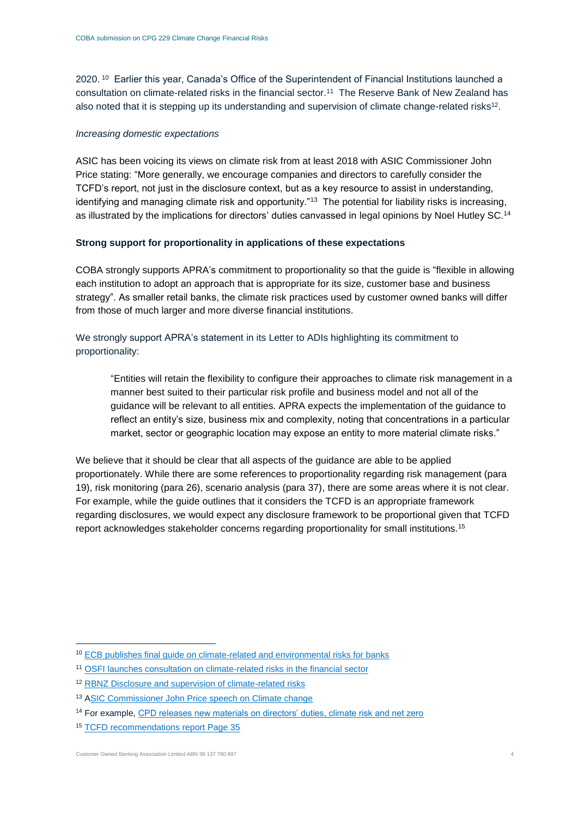2020. <sup>10</sup> Earlier this year, Canada's Office of the Superintendent of Financial Institutions launched a consultation on climate-related risks in the financial sector.<sup>11</sup> The Reserve Bank of New Zealand has also noted that it is stepping up its understanding and supervision of climate change-related risks<sup>12</sup>.

## *Increasing domestic expectations*

ASIC has been voicing its views on climate risk from at least 2018 with ASIC Commissioner John Price stating: "More generally, we encourage companies and directors to carefully consider the TCFD's report, not just in the disclosure context, but as a key resource to assist in understanding, identifying and managing climate risk and opportunity."<sup>13</sup> The potential for liability risks is increasing, as illustrated by the implications for directors' duties canvassed in legal opinions by Noel Hutley SC.<sup>14</sup>

# **Strong support for proportionality in applications of these expectations**

COBA strongly supports APRA's commitment to proportionality so that the guide is "flexible in allowing each institution to adopt an approach that is appropriate for its size, customer base and business strategy". As smaller retail banks, the climate risk practices used by customer owned banks will differ from those of much larger and more diverse financial institutions.

We strongly support APRA's statement in its Letter to ADIs highlighting its commitment to proportionality:

"Entities will retain the flexibility to configure their approaches to climate risk management in a manner best suited to their particular risk profile and business model and not all of the guidance will be relevant to all entities. APRA expects the implementation of the guidance to reflect an entity's size, business mix and complexity, noting that concentrations in a particular market, sector or geographic location may expose an entity to more material climate risks."

We believe that it should be clear that all aspects of the guidance are able to be applied proportionately. While there are some references to proportionality regarding risk management (para 19), risk monitoring (para 26), scenario analysis (para 37), there are some areas where it is not clear. For example, while the guide outlines that it considers the TCFD is an appropriate framework regarding disclosures, we would expect any disclosure framework to be proportional given that TCFD report acknowledges stakeholder concerns regarding proportionality for small institutions.<sup>15</sup>

-

<sup>10</sup> ECB publishes final guide on climate-related and environmental risks for banks

<sup>11</sup> OSFI launches consultation on climate-related risks in the financial sector

<sup>&</sup>lt;sup>12</sup> RBNZ Disclosure and supervision of climate-related risks

<sup>13</sup> ASIC Commissioner John Price speech on Climate change

<sup>&</sup>lt;sup>14</sup> For example, CPD releases new materials on directors' duties, climate risk and net zero

<sup>15</sup> TCFD recommendations report Page 35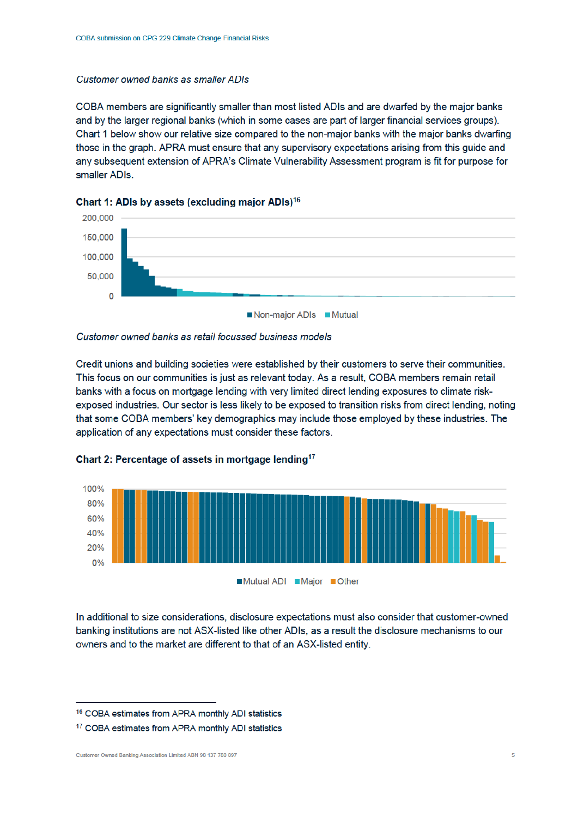## Customer owned banks as smaller ADIs

COBA members are significantly smaller than most listed ADIs and are dwarfed by the major banks and by the larger regional banks (which in some cases are part of larger financial services groups). Chart 1 below show our relative size compared to the non-major banks with the major banks dwarfing those in the graph. APRA must ensure that any supervisory expectations arising from this quide and any subsequent extension of APRA's Climate Vulnerability Assessment program is fit for purpose for smaller ADIs.







Credit unions and building societies were established by their customers to serve their communities. This focus on our communities is just as relevant today. As a result, COBA members remain retail banks with a focus on mortgage lending with very limited direct lending exposures to climate riskexposed industries. Our sector is less likely to be exposed to transition risks from direct lending, noting that some COBA members' key demographics may include those employed by these industries. The application of any expectations must consider these factors.





In additional to size considerations, disclosure expectations must also consider that customer-owned banking institutions are not ASX-listed like other ADIs, as a result the disclosure mechanisms to our owners and to the market are different to that of an ASX-listed entity.

<sup>&</sup>lt;sup>16</sup> COBA estimates from APRA monthly ADI statistics

<sup>&</sup>lt;sup>17</sup> COBA estimates from APRA monthly ADI statistics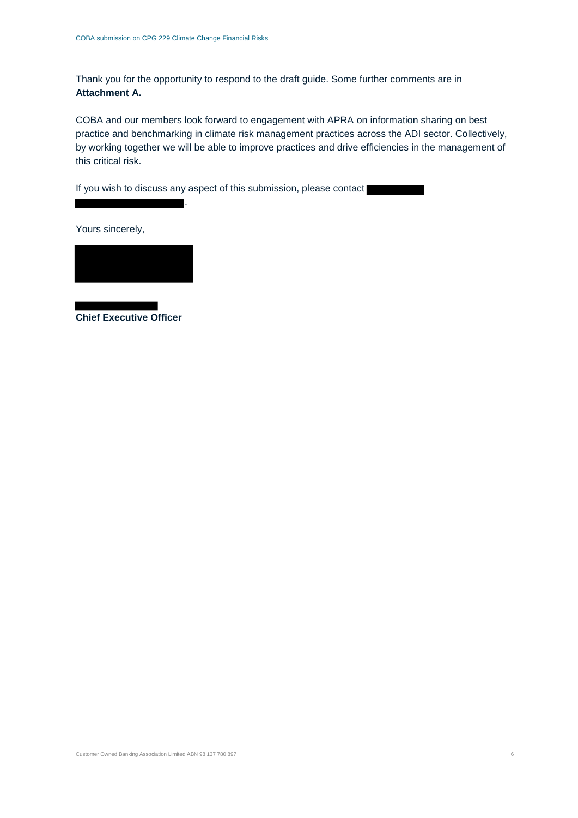Thank you for the opportunity to respond to the draft guide. Some further comments are in **Attachment A.**

COBA and our members look forward to engagement with APRA on information sharing on best practice and benchmarking in climate risk management practices across the ADI sector. Collectively, by working together we will be able to improve practices and drive efficiencies in the management of this critical risk.

If you wish to discuss any aspect of this submission, please contact

.

Yours sincerely,



**Chief Executive Officer**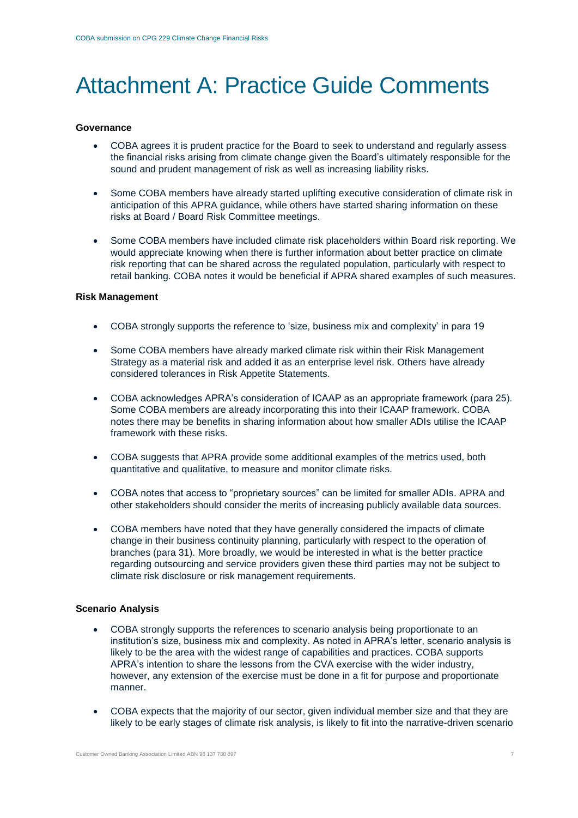# Attachment A: Practice Guide Comments

#### **Governance**

- COBA agrees it is prudent practice for the Board to seek to understand and regularly assess the financial risks arising from climate change given the Board's ultimately responsible for the sound and prudent management of risk as well as increasing liability risks.
- Some COBA members have already started uplifting executive consideration of climate risk in anticipation of this APRA guidance, while others have started sharing information on these risks at Board / Board Risk Committee meetings.
- Some COBA members have included climate risk placeholders within Board risk reporting. We would appreciate knowing when there is further information about better practice on climate risk reporting that can be shared across the regulated population, particularly with respect to retail banking. COBA notes it would be beneficial if APRA shared examples of such measures.

#### **Risk Management**

- COBA strongly supports the reference to 'size, business mix and complexity' in para 19
- Some COBA members have already marked climate risk within their Risk Management Strategy as a material risk and added it as an enterprise level risk. Others have already considered tolerances in Risk Appetite Statements.
- COBA acknowledges APRA's consideration of ICAAP as an appropriate framework (para 25). Some COBA members are already incorporating this into their ICAAP framework. COBA notes there may be benefits in sharing information about how smaller ADIs utilise the ICAAP framework with these risks.
- COBA suggests that APRA provide some additional examples of the metrics used, both quantitative and qualitative, to measure and monitor climate risks.
- COBA notes that access to "proprietary sources" can be limited for smaller ADIs. APRA and other stakeholders should consider the merits of increasing publicly available data sources.
- COBA members have noted that they have generally considered the impacts of climate change in their business continuity planning, particularly with respect to the operation of branches (para 31). More broadly, we would be interested in what is the better practice regarding outsourcing and service providers given these third parties may not be subject to climate risk disclosure or risk management requirements.

#### **Scenario Analysis**

- COBA strongly supports the references to scenario analysis being proportionate to an institution's size, business mix and complexity. As noted in APRA's letter, scenario analysis is likely to be the area with the widest range of capabilities and practices. COBA supports APRA's intention to share the lessons from the CVA exercise with the wider industry, however, any extension of the exercise must be done in a fit for purpose and proportionate manner.
- COBA expects that the majority of our sector, given individual member size and that they are likely to be early stages of climate risk analysis, is likely to fit into the narrative-driven scenario